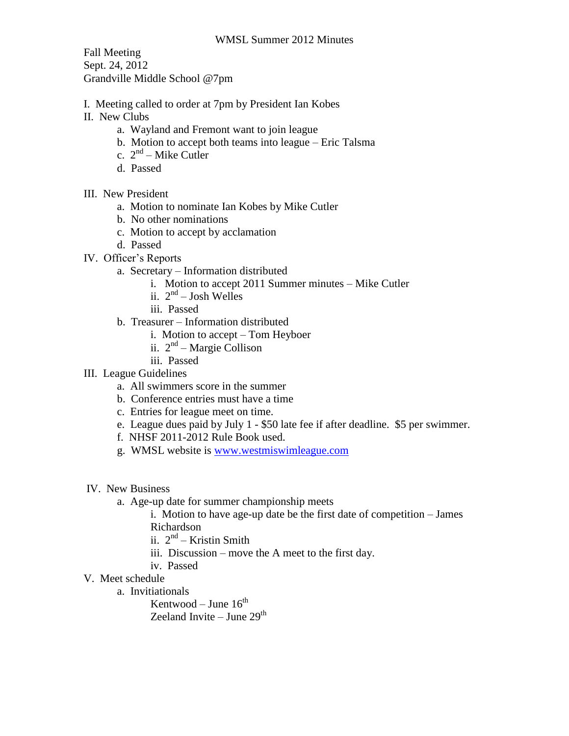Fall Meeting Sept. 24, 2012 Grandville Middle School @7pm

- I. Meeting called to order at 7pm by President Ian Kobes
- II. New Clubs
	- a. Wayland and Fremont want to join league
	- b. Motion to accept both teams into league Eric Talsma
	- c.  $2<sup>nd</sup> Mike Cutler$
	- d. Passed
- III. New President
	- a. Motion to nominate Ian Kobes by Mike Cutler
	- b. No other nominations
	- c. Motion to accept by acclamation
	- d. Passed
- IV. Officer's Reports
	- a. Secretary Information distributed
		- i. Motion to accept 2011 Summer minutes Mike Cutler
		- ii.  $2<sup>nd</sup> Josh Welles$
		- iii. Passed
		- b. Treasurer Information distributed
			- i. Motion to accept Tom Heyboer
			- ii. 2<sup>nd</sup> Margie Collison
			- iii. Passed
- III. League Guidelines
	- a. All swimmers score in the summer
	- b. Conference entries must have a time
	- c. Entries for league meet on time.
	- e. League dues paid by July 1 \$50 late fee if after deadline. \$5 per swimmer.
	- f. NHSF 2011-2012 Rule Book used.
	- g. WMSL website is [www.westmiswimleague.com](http://www.westmiswimleague.com/)
- IV. New Business
	- a. Age-up date for summer championship meets

i. Motion to have age-up date be the first date of competition – James Richardson

- ii. 2<sup>nd</sup> Kristin Smith
- iii. Discussion move the A meet to the first day.
- iv. Passed
- V. Meet schedule
	- a. Invitiationals

Kentwood – June 16<sup>th</sup>

Zeeland Invite – June 29<sup>th</sup>